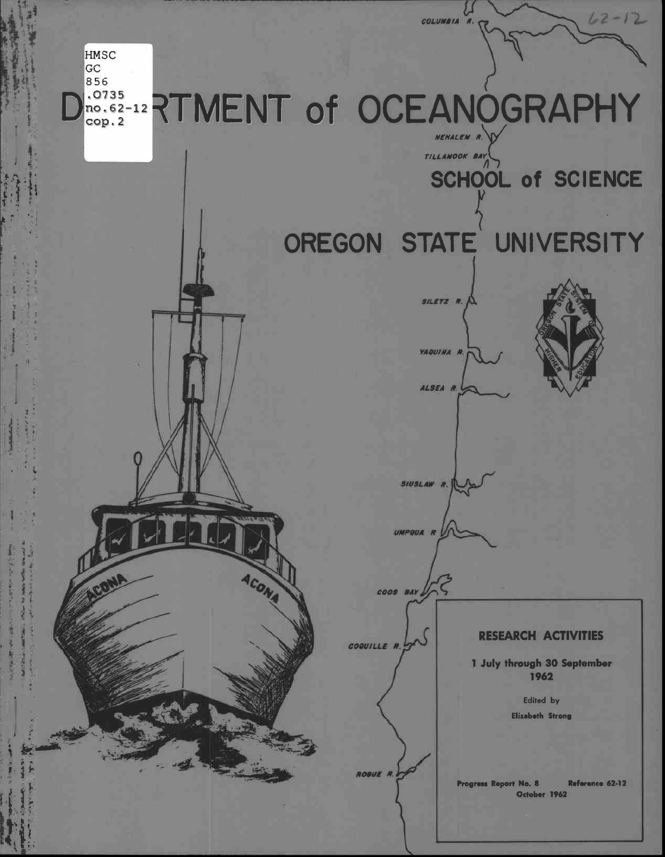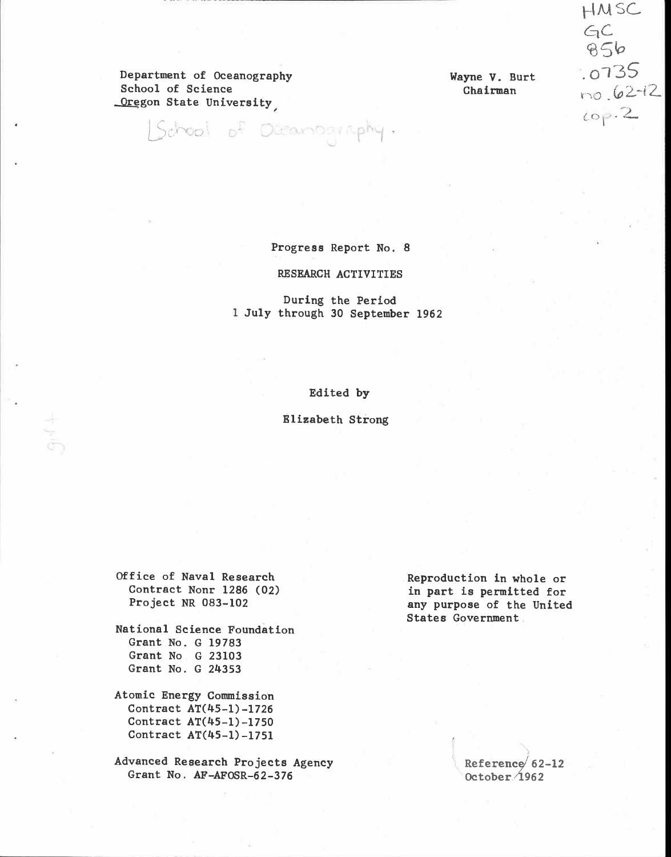Department of Oceanography Wayne V. Burt  $\overline{O}$  O (55)<br>School of Science Chairman  $\overline{O}$  (2-12) Oregon State University,

[School of Oceanography.

 $HMSC$  $GC$  $956$  $.0735$  $00p.2$ 

Progress Report No. 8

RESEARCH ACTIVITIES

During the Period July through 30 September 1962

Edited by

Elizabeth Strong

National Science Foundation Grant No. G 19783 Grant No G 23103 Grant No. G 24353

Atomic Energy Commission Contract AT(45-1)-1726 Contract AT(45-1)-1750 Contract AT(45-1)-1751

Advanced Research Projects Agency Grant No. AF-AFOSR-62-376

Office of Naval Research Reproduction in whole or<br>
Contract Nonr 1286 (02) in part is permitted for<br>
Project NR 083-102 any purpose of the United States Government

> Reference  $62-12$ October. $1962$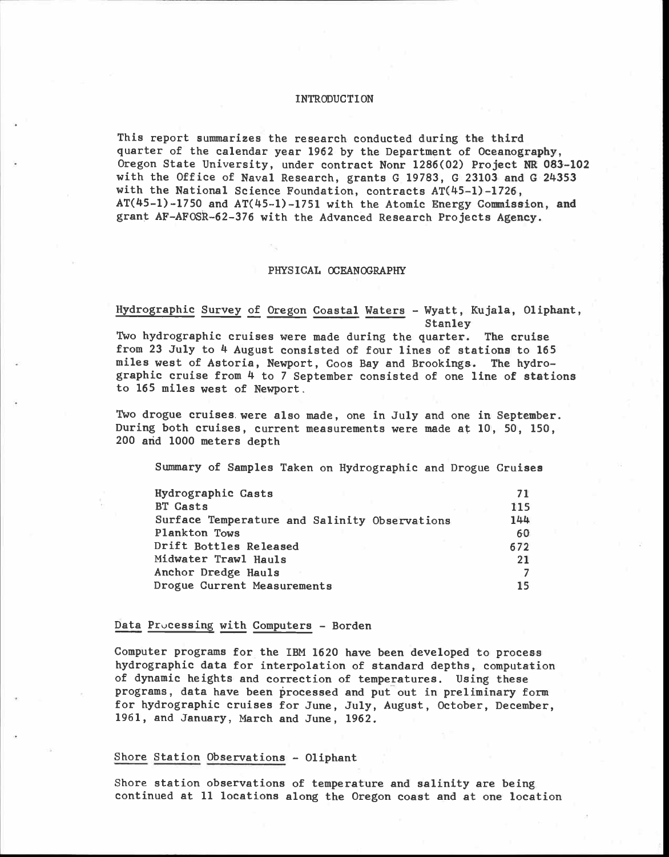#### INTRODUCTION

This report summarizes the research conducted during the third quarter of the calendar year 1962 by the Department of Oceanography, Oregon State University, under contract Nonr 1286(02) Project NR 083-102 with the Office of Naval Research, grants G 19783, G 23103 and G 24353 with the National Science Foundation, contracts AT(45-1)-1726, AT(45-1)-1750 and AT(45-1)-1751 with the Atomic Energy Commission, and grant AF-AFOSR-62-376 with the Advanced Research Projects Agency.

#### PHYSICAL OCEANOGRAPHY

Hydrographic Survey of Oregon Coastal Waters - Wyatt, Kujala, Oliphant, **Stanley** Two hydrographic cruises were made during the quarter. The cruise from 23 July to 4 August consisted of four lines of stations to 165 miles west of Astoria, Newport, Coos Bay and Brookings. The hydro- graphic cruise from 4 to 7 September consisted of one line of stations to 165 miles west of Newport.

Two drogue cruises. were also made, one in July and one in September. During both cruises, current measurements were made at 10, 50, 150, 200 and 1000 meters depth

Summary of Samples Taken on Hydrographic and Drogue Cruises

| Hydrographic Casts                            | 71  |  |
|-----------------------------------------------|-----|--|
| <b>BT Casts</b>                               | 115 |  |
| Surface Temperature and Salinity Observations | 144 |  |
| Plankton Tows                                 | 60  |  |
| Drift Bottles Released                        | 672 |  |
| Midwater Trawl Hauls                          | 21  |  |
| Anchor Dredge Hauls                           |     |  |
| Drogue Current Measurements                   | 15  |  |

#### Data Processing with Computers - Borden

Computer programs for the IBM 1620 have been developed to process hydrographic data for interpolation of standard depths, computation of dynamic heights and correction of temperatures. Using these programs, data have been processed and put out in preliminary form for hydrographic cruises for June, July, August, October, December, 1961, and January, March and June, 1962.

# Shore Station Observations - Oliphant

Shore station observations of temperature and salinity are being continued at 11 locations along the Oregon coast and at one location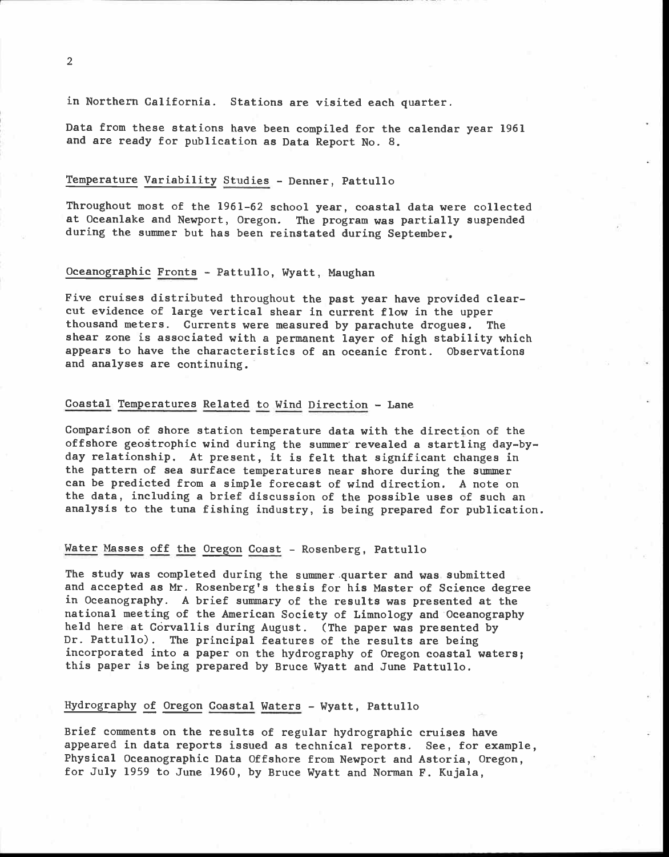in Northern California. Stations are visited each quarter.

Data from these stations have been compiled for the calendar year 1961 and are ready for publication as Data Report No. 8.

## Temperature Variability Studies - Denner, Pattullo

Throughout most of the 1961-62 school year, coastal data were collected at Oceanlake and Newport, Oregon. The program was partially suspended during the summer but has been reinstated during September.

# Oceanographic Fronts - Pattullo, Wyatt, Maughan

Five cruises distributed throughout the past year have provided clear- cut evidence of large vertical shear in current flow in the upper thousand meters. Currents were measured by parachute drogues. The shear zone is associated with a permanent layer of high stability which appears to have the characteristics of an oceanic front. Observations and analyses are continuing.

# Coastal Temperatures Related to Wind Direction - Lane

Comparison of shore station temperature data with the direction of the offshore geostrophic wind during the summer revealed a startling day-by-<br>day relationship. At present, it is felt that significant changes in the pattern of sea surface temperatures near shore during the summer can be predicted from a simple forecast of wind direction. A note on the data, including a brief discussion of the possible uses of such an analysis to the tuna fishing industry, is being prepared for publication.

## Water Masses off the Oregon Coast - Rosenberg, Pattullo

The study was completed during the summer.quarter and was submitted and accepted as Mr. Rosenberg's thesis for his Master of Science degree in Oceanography. A brief summary of the results was presented at the national meeting of the American Society of Limnology and Oceanography held here at Corvallis during August. (The paper was presented by Dr. Pattullo). The principal features of the results are being incorporated into a paper on the hydrography of Oregon coastal waters; this paper is being prepared by Bruce Wyatt and June Pattullo.

# Hydrography of Oregon Coastal Waters - Wyatt, Pattullo

Brief comments on the results of regular hydrographic cruises have appeared in data reports issued as technical reports. See, for example, Physical Oceanographic Data Offshore from Newport and Astoria, Oregon, for July 1959 to June 1960, by Bruce Wyatt and Norman F. Kujala,

2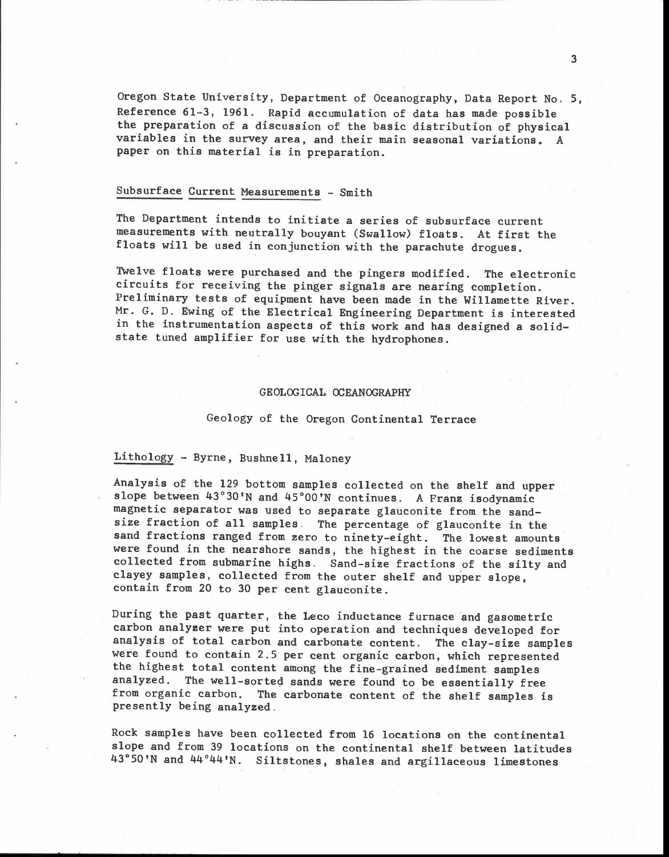Oregon State University, Department of Oceanography, Data Report No. 5, Reference 61-3, 1961. Rapid accumulation of data has made possible the preparation of a discussion of the basic distribution of physical variables in the survey area, and their main seasonal variations. A paper on this material is in preparation.

# Subsurface Current Measurements - Smith

The Department intends to initiate a series of subsurface current measurements with neutrally bouyant (Swallow) floats. At first the floats will be used in conjunction with the parachute drogues.

Twelve floats were purchased and the pingers modified. The electronic circuits for receiving the pinger signals are nearing completion. Preliminary tests of equipment have been made in the Willamette River. Mr. G. D. Ewing of the Electrical Engineering Department is interested in the instrumentation aspects of this work and has designed a solidstate tuned amplifier for use with the hydrophones.

#### GEOLOGICAL OCEANOGRAPHY

#### Geology of the Oregon Continental Terrace

## Lithology - Byrne, Bushnell, Maloney

Analysis of the 129 bottom samples collected on the shelf and upper slope between  $43^{\circ}30^{\prime}$ N and  $45^{\circ}00^{\prime}$ N continues. A Franz isodynamic magnetic separator was used to separate glauconite from the sandsize fraction of all samples. The percentage of glauconite in the sand fractions ranged from zero to ninety-eight. The lowest amounts were found in the nearshore sands, the highest in the coarse sediments collected from submarine highs. Sand-size fractions of the silty and clayey samples, collected from the outer shelf and upper slope, contain from 20 to 30 per cent glauconite.

During the past quarter, the Leco inductance furnace and gasometric carbon analyzer were put into operation and techniques developed for analysis of total carbon and carbonate content. The clay-size samples were found to contain 2.5 per cent organic carbon, which represented the highest total content among the fine-grained sediment samples analyzed. The well-sorted sands were found to be essentially free from organic carbon. The carbonate content of the shelf samples is presently being analyzed.

Rock samples have been collected from 16 locations on the continental slope and from 39 locations on the continental shelf between latitudes 43°50'N and 44°44'N. Siltstones, shales and argillaceous limestones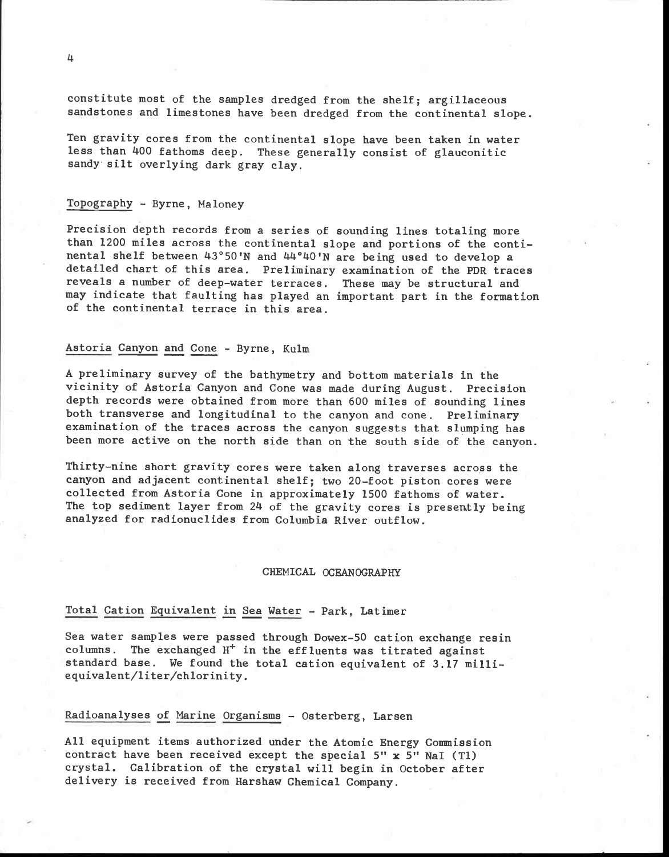constitute most of the samples dredged from the shelf; argillaceous sandstones and limestones have been dredged from the continental slope.

Ten gravity cores from the continental slope have been taken in water less than 400 fathoms deep. These generally consist of glauconitic sandy silt overlying dark gray clay.

## Topography - Byrne, Maloney

Precision depth records from a series of sounding lines totaling more than 1200 miles across the continental slope and portions of the continental shelf between 43°50'N and 44°40'N are being used to develop a detailed chart of this area. Preliminary examination of the PDR traces reveals a number of deep-water terraces. These may be structural and may indicate that faulting has played an important part in the formation of the continental terrace in this area.

# Astoria Canyon and Cone - Byrne, Kulm

A preliminary survey of the bathymetry and bottom materials in the vicinity of Astoria Canyon and Cone was made during August. Precision depth records were obtained from more than 600 miles of sounding lines both transverse and longitudinal to the canyon and cone. Preliminary examination of the traces across the canyon suggests that slumping has been more active on the north side than on the south side of the canyon.

Thirty-nine short gravity cores were taken along traverses across the canyon and adjacent continental shelf; two 20-foot piston cores were collected from Astoria Cone in approximately 1500 fathoms of water. The top sediment layer from 24 of the gravity cores is presently being analyzed for radionuclides from Columbia River outflow.

#### CHEMICAL OCEANOGRAPHY

#### Total Cation Equivalent in Sea Water - Park, Latimer

Sea water samples were passed through Dowex-50 cation exchange resin columns. The exchanged  $H^+$  in the effluents was titrated against standard base. We found the total cation equivalent of 3.17 milliequivalent/liter/chlorinity.

#### Radioanalyses of Marine Organisms - Osterberg, Larsen

All equipment items authorized under the Atomic Energy Commission contract have been received except the special  $5" x 5"$  NaI (T1) crystal. Calibration of the crystal will begin in October after delivery is received from Harshaw Chemical Company.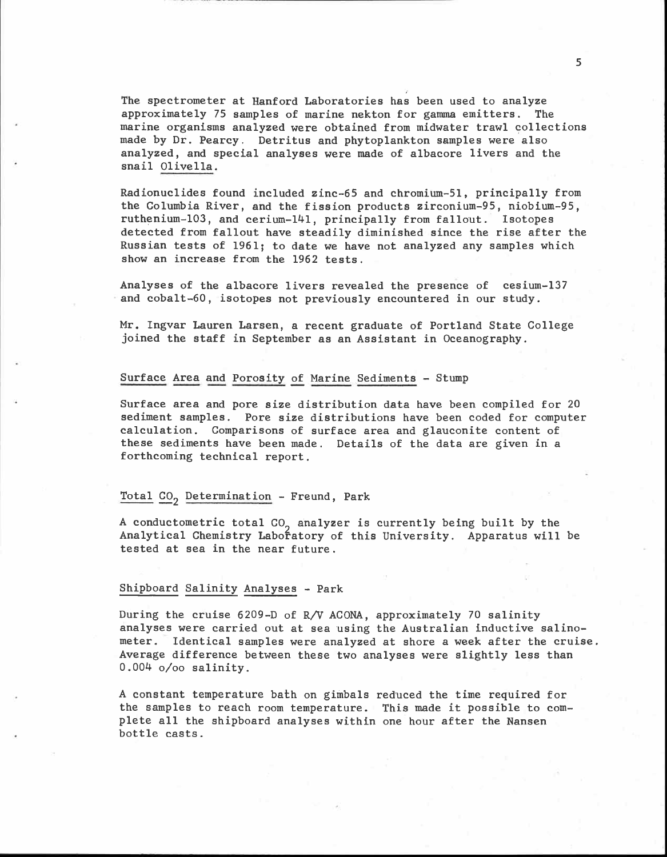The spectrometer at Hanford Laboratories has been used to analyze approximately 75 samples of marine nekton for gamma emitters. The marine organisms analyzed were obtained from midwater trawl collections made by Dr. Pearcy. Detritus and phytoplankton samples were also analyzed, and special analyses were made of albacore livers and the snail Olivella.

Radionuclides found included zinc-65 and chromium-51, principally from the Columbia River, and the fission products zirconium-95, niobium-95, ruthenium-103, and cerium-141, principally from fallout. Isotopes detected from fallout have steadily diminished since the rise after the Russian tests of 1961; to date we have not analyzed any samples which show an increase from the 1962 tests.

Analyses of the albacore livers revealed the presence of cesium-137 and cobalt-60, isotopes not previously encountered in our study.

Mr. Ingvar Lauren Larsen, a recent graduate of Portland State College joined the staff in September as an Assistant in Oceanography.

## Surface Area and Porosity of Marine Sediments - Stump

Surface area and pore size distribution data have been compiled for 20 sediment samples. Pore size distributions have been coded for computer calculation. Comparisons of surface area and glauconite content of these sediments have been made. Details of the data are given in a forthcoming technical report.

#### Total  $CO<sub>2</sub>$  Determination - Freund, Park

A conductometric total CO<sub>2</sub> analyzer is currently being built by the Analytical Chemistry Labofatory of this University. Apparatus will be tested at sea in the near future.

#### Shipboard Salinity Analyses - Park

During the cruise 6209-D of R/V ACONA, approximately 70 salinity analyses were carried out at sea using the Australian inductive salinometer. Identical samples were analyzed at shore a week after the cruise. Average difference between these two analyses were slightly less than 0.004 0/0o salinity.

A constant temperature bath on gimbals reduced the time required for the samples to reach room temperature. This made it possible to com-<br>plete all the shipboard analyses within one hour after the Nansen<br>bottle casts.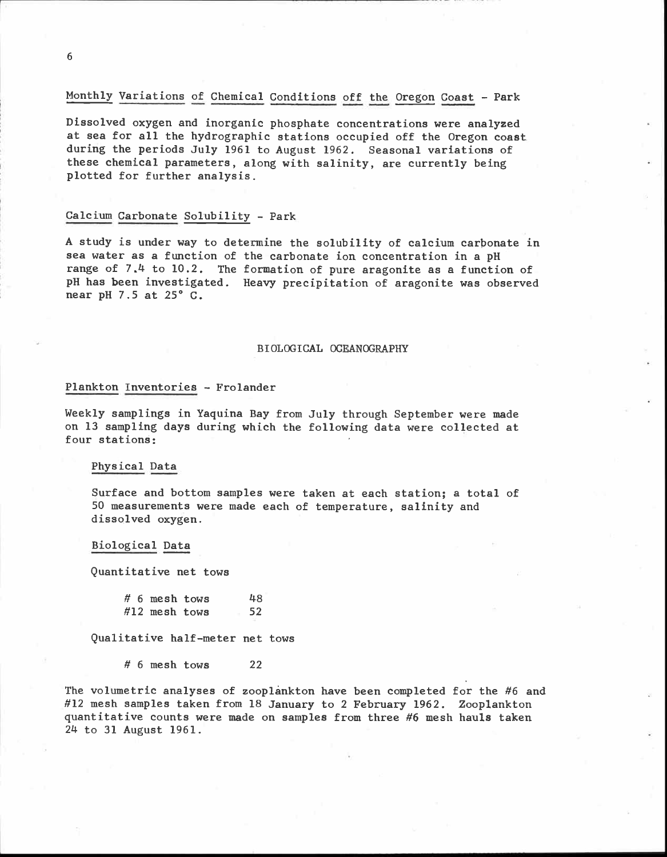# Monthly Variations of Chemical Conditions off the Oregon Coast - Park

Dissolved oxygen and inorganic phosphate concentrations were analyzed at sea for all the hydrographic stations occupied off the Oregon coast during the periods July 1961 to August 1962. Seasonal variations of these chemical parameters, along with salinity, are currently being plotted for further analysis.

## Calcium Carbonate Solubility - Park

A study is under way to determine the solubility of calcium carbonate in sea water as a function of the carbonate ion concentration in a PH range of 7.4 to 10.2. The formation of pure aragonite as a function of pH has been investigated. Heavy precipitation of aragonite was observed near pH 7.5 at 25° C.

#### BIOLOGICAL OCEANOGRAPHY

#### Plankton Inventories - Frolander

Weekly samplings in Yaquina Bay from July through September were made on 13 sampling days during which the following data were collected at four stations:

## Physical Data

Surface and bottom samples were taken at each station; a total of 50 measurements were made each of temperature, salinity and dissolved oxygen.

#### Biological Data

Quantitative net tows

| $# 6$ mesh tows | 48 |
|-----------------|----|
| $#12$ mesh tows | 52 |

Qualitative half-meter net tows

 $# 6$  mesh tows 22

The volumetric analyses of zooplankton have been completed for the #6 and #12 mesh samples taken from 18 January to 2 February 1962. Zooplankton quantitative counts were made on samples from three #6 mesh hauls taken 24 to 31 August 1961.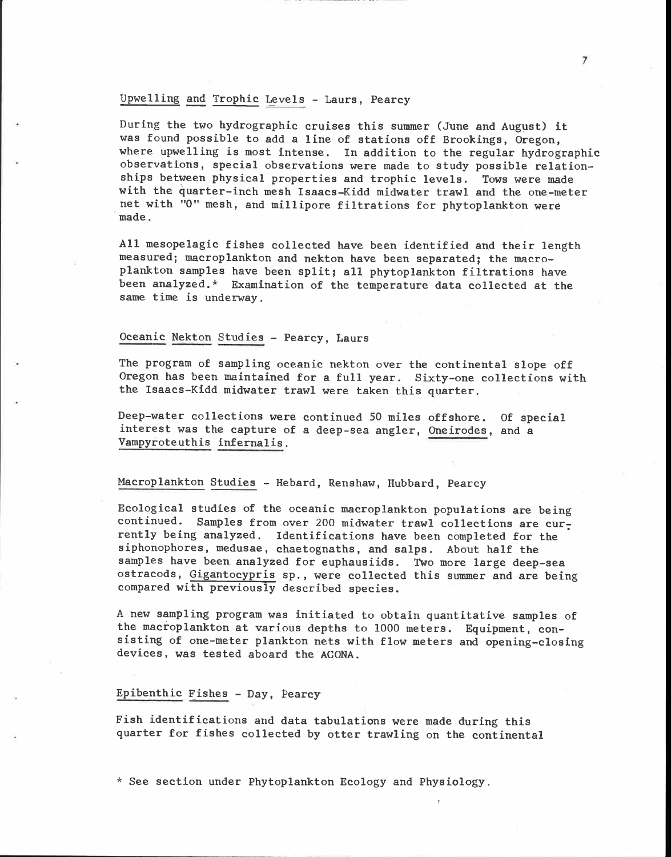# Upwelling and Trophic Levels - Laurs, Pearcy

During the two hydrographic cruises this summer (June and August) it was found possible to add a line of stations off Brookings, Oregon, where upwelling is most intense. In addition to the regular hydrographic observations, special observations were made to study possible relationships between physical properties and trophic levels. Tows were made with the quarter-inch mesh Isaacs-Kidd midwater trawl and the one-meter net with "0" mesh, and millipore filtrations for phytoplankton were made.

All mesopelagic fishes collected have been identified and their length measured; macroplankton and nekton have been separated; the macroplankton samples have been split; all phytoplankton filtrations have been analyzed.\* Examination of the temperature data collected at the same time is underway.

## Oceanic Nekton Studies - Pearcy, Laurs

The program of sampling oceanic nekton over the continental slope off Oregon has been maintained for a full year. Sixty-one collections with the Isaacs-Kidd midwater trawl were taken this quarter.

Deep-water collections were continued 50 miles offshore. Of special interest was the capture of a deep-sea angler, Oneirodes, and a Vampyroteuthis infernalis.

#### Macroplankton Studies - Hebard, Renshaw, Hubbard, Pearcy

Ecological studies of the oceanic macroplankton populations are being continued. Samples from over 200 midwater trawl collections are  $cur<sub>z</sub>$ rently being analyzed. Identifications have been completed for the siphonophores, medusae, chaetognaths, and salps. About half the samples have been analyzed for euphausiids. Two more large deep-sea ostracods, Gigantocypris sp., were collected this summer and are being compared with previously described species.

A new sampling program was initiated to obtain quantitative samples of the macroplankton at various depths to 1000 meters. Equipment, consisting of one-meter plankton nets with flow meters and opening-closing devices, was tested aboard the ACONA.

#### Epibenthic Fishes - Day, Pearcy

Fish identifications and data tabulations were made during this quarter for fishes collected by otter trawling on the continental

 $*$  See section under Phytoplankton Ecology and Physiology.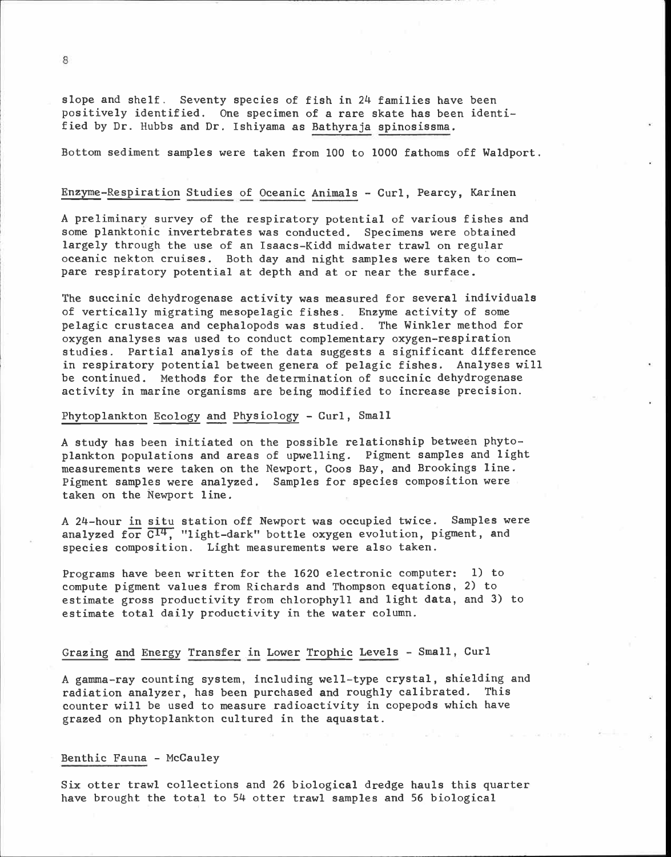slope and shelf. Seventy species of fish in 24 families have been positively identified. One specimen of a rare skate has been identified by Dr. Hubbs and Dr. Ishiyama as Bathyraja spinosissma.

Bottom sediment samples were taken from 100 to 1000 fathoms off Waldport.

# Enzyme-Respiration Studies of Oceanic Animals - Curl, Pearcy, Karinen

A preliminary survey of the respiratory potential of various fishes and some planktonic invertebrates was conducted. Specimens were obtained largely through the use of an Isaacs-Kidd midwater trawl on regular oceanic nekton cruises. Both day and night samples were taken to com- pare respiratory potential at depth and at or near the surface.

The succinic dehydrogenase activity was measured for several individuals of vertically migrating mesopelagic fishes. Enzyme activity of some pelagic crustacea and cephalopods was studied. The Winkler method for oxygen analyses was used to conduct complementary oxygen-respiration studies. Partial analysis of the data suggests a significant difference in respiratory potential between genera of pelagic fishes. Analyses will be continued. Methods for the determination of succinic dehydrogenase activity in marine organisms are being modified to increase precision.

## Phytoplankton Ecology and Physiology - Curl, Small

A study has been initiated on the possible relationship between phytoplankton populations and areas of upwelling. Pigment samples and light measurements were taken on the Newport, Coos Bay, and Brookings line. Pigment samples were analyzed. Samples for species composition were taken on the Newport line.

A 24-hour in situ station off Newport was occupied twice. Samples were analyzed for  $\overline{C^{14}}$ , "light-dark" bottle oxygen evolution, pigment, and species composition. Light measurements were also taken.

Programs have been written for the 1620 electronic computer: 1) to compute pigment values from Richards and Thompson equations, 2) to estimate gross productivity from chlorophyll and light data, and 3) to estimate total daily productivity in the water column.

#### Grazing and Energy Transfer in Lower Trophic Levels - Small, Curl

A gamma-ray counting system, including well-type crystal, shielding and radiation analyzer, has been purchased and roughly calibrated. This counter will be used to measure radioactivity in copepods which have grazed on phytoplankton cultured in the aquastat.

#### Benthic Fauna - McCauley

Six otter trawl collections and 26 biological dredge hauls this quarter have brought the total to 54 otter trawl samples and 56 biological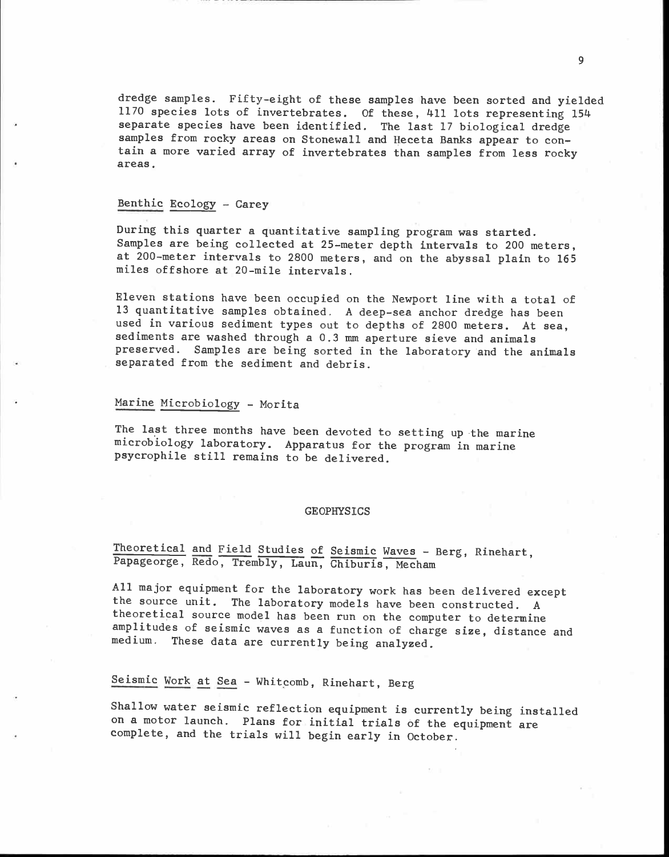dredge samples. Fifty-eight of these samples have been sorted and yielded 1170 species lots of invertebrates. Of these, 411 lots representing 154 separate species have been identified. The last 17 biological dredge samples from rocky areas on Stonewall and Heceta Banks appear to contain a more varied array of invertebrates than samples from less rocky areas.

## Benthic Ecology - Carey

During this quarter a quantitative sampling program was started.<br>Samples are being collected at 25-meter depth intervals to 200 meters, at 200-meter intervals to 2800 meters, and on the abyssal plain to 165 miles offshore

Eleven stations have been occupied on the Newport line with a total of 13 quantitative samples obtained. A deep-sea anchor dredge has been used in various sediment types out to depths of 2800 meters. At sea, sediments are washed through a 0.3 mm aperture sieve and animals preserved. Samples are being sorted in the laboratory and the animals separated from the sediment and debris.

#### Marine Microbiology - Morita

The last three months have been devoted to setting up-the marine microbiology laboratory. Apparatus for the program in marine psycrophile still remains to be delivered.

#### GEOPHYSICS

Theoretical and Field Studies of Seismic Waves - Berg, Rinehart, Papageorge, Redo, Trembly, Laun, Chiburis, Mecham

All major equipment for the laboratory work has been delivered except the source unit. The laboratory models have been constructed. A theoretical source model has been run on the computer to determine amplitudes of seismic waves as a function of charge size, distance and medium. These data are currently being analyzed.

# Seismic Work at Sea - Whitcomb, Rinehart, Berg

Shallow water seismic reflection equipment is currently being installed on a motor launch. Plans for initial trials of the equipment are complete, and the trials will begin early in October.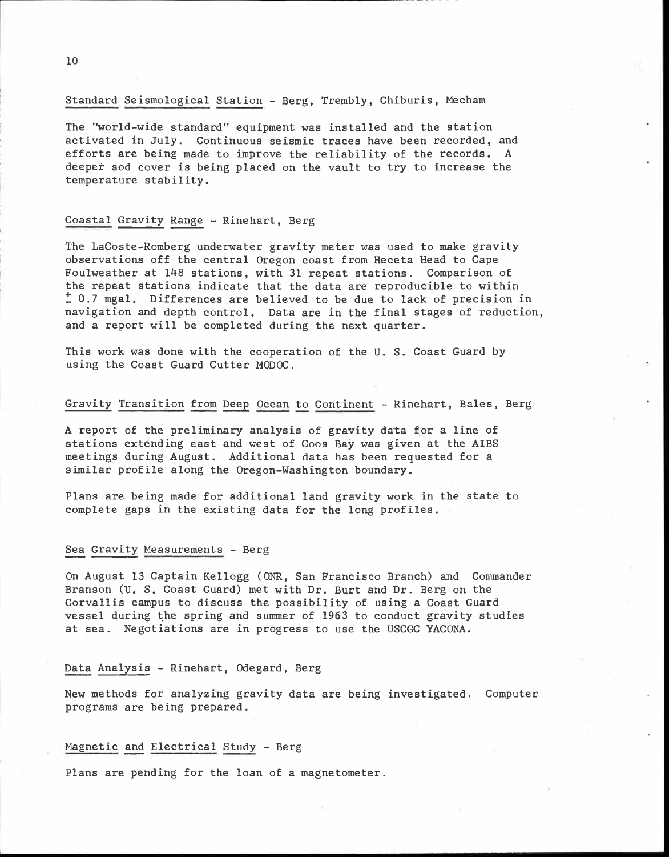## Standard Seismological Station - Berg, Trembly, Chiburis, Mecham

The "world-wide standard" equipment was installed and the station activated in July. Continuous seismic traces have been recorded, and efforts are being made to improve the reliability of the records. A deeper sod cover is being placed on the vault to try to increase the temperature stability.

## Coastal Gravity Range - Rinehart, Berg

The LaCoste-Romberg underwater gravity meter was used to make gravity observations off the central Oregon coast from Heceta Head to Cape Foulweather at 148 stations, with 31 repeat stations. Comparison of the repeat stations indicate that the data are reproducible to within ± 0.7 mgal. Differences are believed to be due to lack of precision in navigation and depth control. Data are in the final stages of reduction, and a report will be completed during the next quarter.

This work was done with the cooperation of the U. S. Coast Guard by using the Coast Guard Cutter MODOC.

### Gravity Transition from Deep Ocean to Continent - Rinehart, Bales, Berg

A report of the preliminary analysis of gravity data for a line of stations extending east and west of Coos Bay was given at the AIBS meetings during August. Additional data has been requested for a similar profile along the Oregon-Washington boundary.

Plans are being made for additional land gravity work in the state to complete gaps in the existing data for the long profiles.

## Sea Gravity Measurements - Berg

On August 13 Captain Kellogg (ONR, San Francisco Branch) and Commander Branson (U. S. Coast Guard) met with Dr. Burt and Dr. Berg on the Corvallis campus to discuss the possibility of using a Coast Guard vessel during the spring and summer of 1963 to conduct gravity studies at sea. Negotiations are in progress to use the USCGC YACONA.

#### Data Analysis - Rinehart, Odegard, Berg

New methods for analyzing gravity data are being investigated. Computer programs are being prepared.

## Magnetic and Electrical Study - Berg

Plans are pending for the loan of a magnetometer.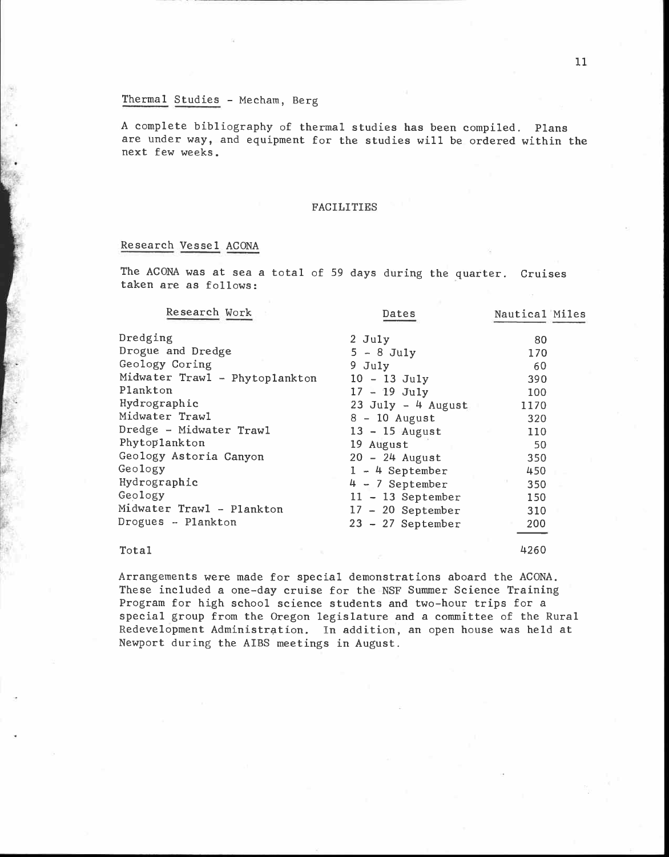# Thermal Studies - Mecham, Berg

A complete bibliography of thermal studies has been compiled. Plans are under way, and equipment for the studies will be ordered within the next few weeks.

## FACILITIES

# Research Vessel ACONA

The ACONA was at sea a total of 59 days during the quarter. Cruises taken are as follows:

| Research Work                  | Dates                | Nautical Miles |  |
|--------------------------------|----------------------|----------------|--|
| Dredging                       | 2 July               | 80             |  |
| Drogue and Dredge              | $5 - 8$ July         | 170            |  |
| Geology Coring                 | $9$ July             | 60             |  |
| Midwater Trawl - Phytoplankton | $10 - 13$ July       | 390            |  |
| Plankton                       | $17 - 19$ July       | 100            |  |
| Hydrographic                   | 23 July $-$ 4 August | 1170           |  |
| Midwater Trawl                 | $8 - 10$ August      | 320            |  |
| Dredge - Midwater Trawl        | $13 - 15$ August     | 110            |  |
| Phytoplankton                  | 19 August            | 50             |  |
| Geology Astoria Canyon         | $20 - 24$ August     | 350            |  |
| Geology                        | $1 - 4$ September    | 450            |  |
| Hydrographic                   | $4 - 7$ September    | 350            |  |
| Geology                        | $11 - 13$ September  | 150            |  |
| Midwater Trawl - Plankton      | $17 - 20$ September  | 310            |  |
| Drogues - Plankton             | $23 - 27$ September  | 200            |  |
| Total                          |                      | 4260           |  |

Arrangements were made for special demonstrations aboard the ACONA. These included a one-day cruise for the NSF Summer Science Training Program for high school science students and two-hour trips for a special group from the Oregon legislature and a committee of the Rural Redevelopment Administration. In addition, an open house was held at Newport during the AIBS meetings in August.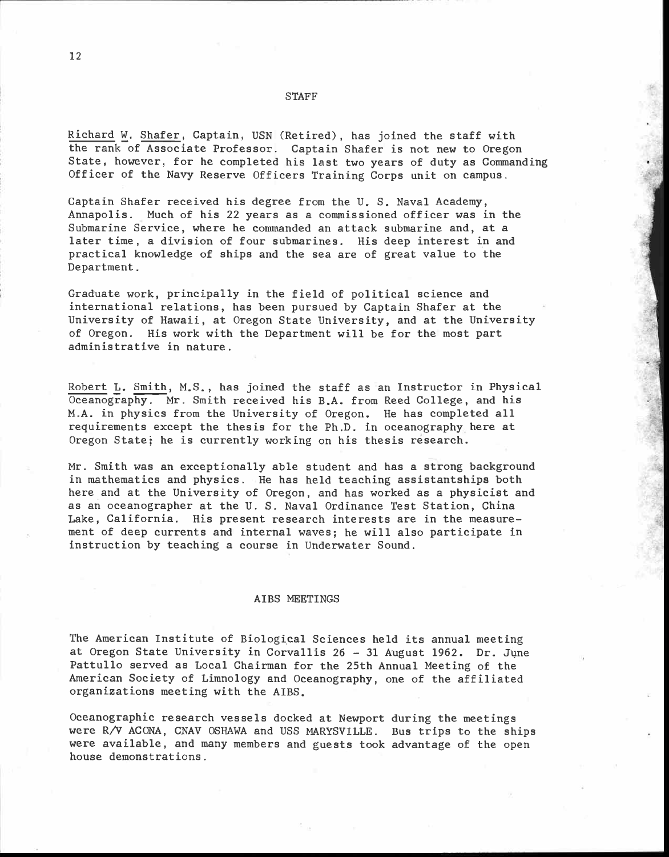#### **STAFF**

Richard W. Shafer, Captain, USN (Retired), has joined the staff with the rank of Associate Professor. Captain Shafer is not new to Oregon State, however, for he completed his last two years of duty as Commanding Officer of the Navy Reserve Officers Training Corps unit on campus.

Captain Shafer received his degree from the U. S. Naval Academy, Annapolis. Much of his 22 years as a commissioned officer was in the Submarine Service, where he commanded an attack submarine and, at a later time, a division of four submarines. His deep interest in and practical knowledge of ships and the sea are of great value to the Department.

Graduate work, principally in the field of political science and<br>international relations, has been pursued by Captain Shafer at the University of Hawaii, at Oregon State University, and at the University of Oregon. His work with the Department will be for the most part administrative in nature.

Robert L. Smith, M.S., has joined the staff as an Instructor in Physical Oceanography. Mr. Smith received his B.A. from Reed College, and his M.A. in physics from the University of Oregon. He has completed all requirements except the thesis for the Ph.D. in oceanography here at Oregon State; he is currently working on his thesis research.

Mr. Smith was an exceptionally able student and has a strong background in mathematics and physics. He has held teaching assistantships both here and at the University of Oregon, and has worked as a physicist and as an oceanographer at the U. S. Naval Ordinance Test Station, China Lake, California. His present research interests are in the measurement of deep currents and internal waves; he will also participate in instruction by teaching a course in Underwater Sound.

#### AIBS MEETINGS

The American Institute of Biological Sciences held its annual meeting at Oregon State University in Corvallis 26 - 31 August 1962. Dr. June Pattullo served as Local Chairman for the 25th Annual Meeting of the American Society of Limnology and Oceanography, one of the affiliated organizations meeting with the AIBS.

Oceanographic research vessels docked at Newport during the meetings were R/V ACONA, CNAV OSHAWA and USS MARYSVILLE. Bus trips to the ships were available, and many members and guests took advantage of the open house demonstrations.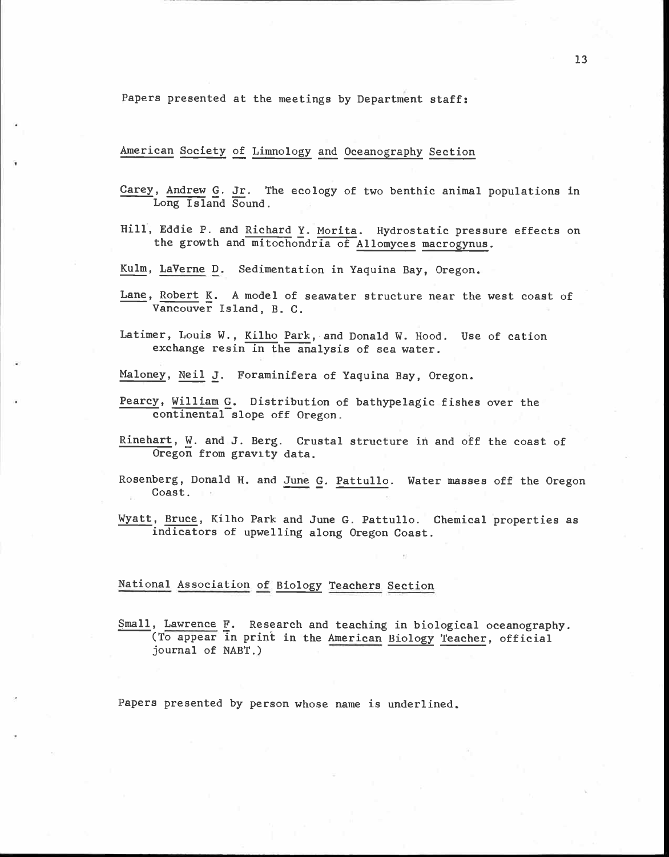Papers presented at the meetings by Department staff:

American Society of Limnology and Oceanography Section

Carey, Andrew G. Jr. The ecology of two benthic animal populations in Long Island Sound.

Hill, Eddie P. and Richard Y. Morita. Hydrostatic pressure effects on the growth and mitochondria of Allomyces macrogynus.

Kulm, LaVerne D. Sedimentation in Yaquina Bay, Oregon.

- Lane, Robert K. A model of seawater structure near the west coast of Vancouver Island, B. C.
- Latimer, Louis W., Kilho park, and Donald W. Hood. Use of cation exchange resin in the analysis of sea water.

Maloney, Neil J. Foraminifera of Yaquina Bay, Oregon.

- Pearcy, William G. Distribution of bathypelagic fishes over the continental slope off Oregon.
- Rinehart, W. and J. Berg. Crustal structure in and off the coast of Oregon from gravity data.
- Rosenberg, Donald H. and June G. Pattullo. Water masses off the Oregon Coast.
- Wyatt, Bruce, Kilho Park and June G. Pattullo. Chemical properties as indicators of upwelling along Oregon Coast.

# National Association of Biology Teachers Section

Small, Lawrence F. Research and teaching in biological oceanography. (To appear in print in the American Biology Teacher, official journal of NABT.)

Papers presented by person whose name is underlined.